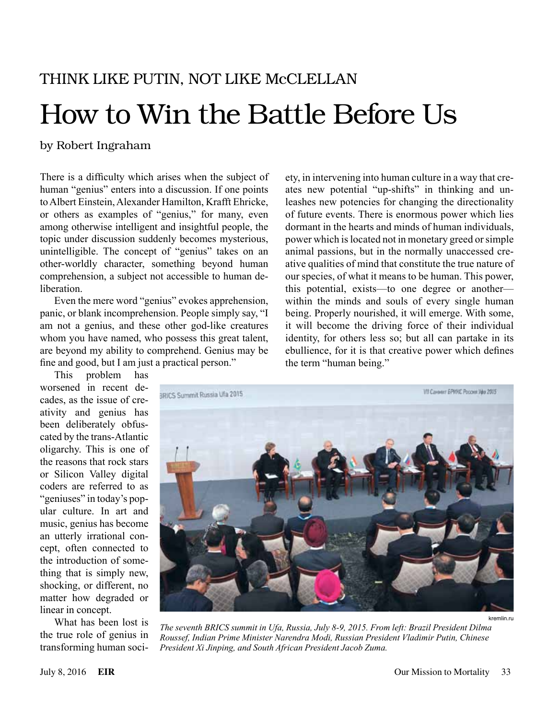# Think Like Putin, Not Like McClellan How to Win the Battle Before Us

#### by Robert Ingraham

There is a difficulty which arises when the subject of human "genius" enters into a discussion. If one points to Albert Einstein, Alexander Hamilton, Krafft Ehricke, or others as examples of "genius," for many, even among otherwise intelligent and insightful people, the topic under discussion suddenly becomes mysterious, unintelligible. The concept of "genius" takes on an other-worldly character, something beyond human comprehension, a subject not accessible to human de**liberation** 

Even the mere word "genius" evokes apprehension, panic, or blank incomprehension. People simply say, "I am not a genius, and these other god-like creatures whom you have named, who possess this great talent, are beyond my ability to comprehend. Genius may be fine and good, but I am just a practical person."

ety, in intervening into human culture in a way that creates new potential "up-shifts" in thinking and unleashes new potencies for changing the directionality of future events. There is enormous power which lies dormant in the hearts and minds of human individuals, power which is located not in monetary greed or simple animal passions, but in the normally unaccessed creative qualities of mind that constitute the true nature of our species, of what it means to be human. This power, this potential, exists—to one degree or another within the minds and souls of every single human being. Properly nourished, it will emerge. With some, it will become the driving force of their individual identity, for others less so; but all can partake in its ebullience, for it is that creative power which defines the term "human being."

This problem has worsened in recent decades, as the issue of creativity and genius has been deliberately obfuscated by the trans-Atlantic oligarchy. This is one of the reasons that rock stars or Silicon Valley digital coders are referred to as "geniuses" in today's popular culture. In art and music, genius has become an utterly irrational concept, often connected to the introduction of something that is simply new, shocking, or different, no matter how degraded or linear in concept.

What has been lost is the true role of genius in transforming human soci-



kremlin.ru

*The seventh BRICS summit in Ufa, Russia, July 8-9, 2015. From left: Brazil President Dilma Roussef, Indian Prime Minister Narendra Modi, Russian President Vladimir Putin, Chinese President Xi Jinping, and South African President Jacob Zuma.*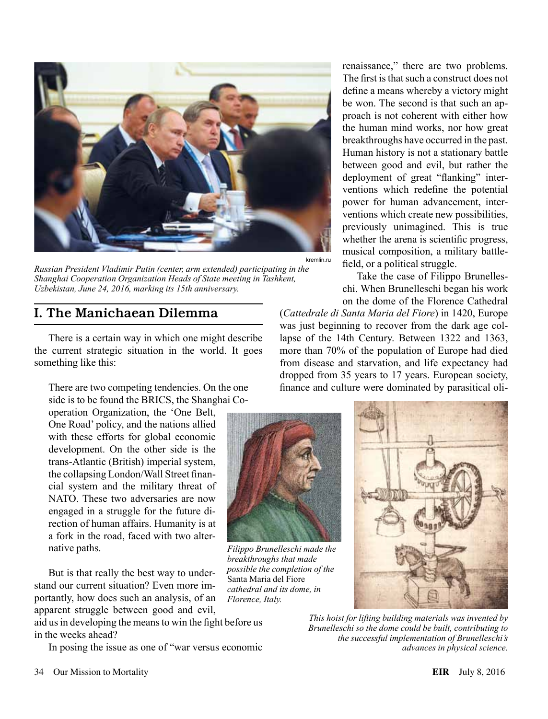

*Russian President Vladimir Putin (center, arm extended) participating in the Shanghai Cooperation Organization Heads of State meeting in Tashkent, Uzbekistan, June 24, 2016, marking its 15th anniversary.*

## I. The Manichaean Dilemma

There is a certain way in which one might describe the current strategic situation in the world. It goes something like this:

There are two competing tendencies. On the one side is to be found the BRICS, the Shanghai Co-

operation Organization, the 'One Belt, One Road' policy, and the nations allied with these efforts for global economic development. On the other side is the trans-Atlantic (British) imperial system, the collapsing London/Wall Street financial system and the military threat of NATO. These two adversaries are now engaged in a struggle for the future direction of human affairs. Humanity is at a fork in the road, faced with two alternative paths.

But is that really the best way to understand our current situation? Even more importantly, how does such an analysis, of an apparent struggle between good and evil,

aid us in developing the means to win the fight before us in the weeks ahead?

In posing the issue as one of "war versus economic

renaissance," there are two problems. The first is that such a construct does not define a means whereby a victory might be won. The second is that such an approach is not coherent with either how the human mind works, nor how great breakthroughs have occurred in the past. Human history is not a stationary battle between good and evil, but rather the deployment of great "flanking" interventions which redefine the potential power for human advancement, interventions which create new possibilities, previously unimagined. This is true whether the arena is scientific progress, musical composition, a military battlefield, or a political struggle.

Take the case of Filippo Brunelleschi. When Brunelleschi began his work on the dome of the Florence Cathedral

(*Cattedrale di Santa Maria del Fiore*) in 1420, Europe was just beginning to recover from the dark age collapse of the 14th Century. Between 1322 and 1363, more than 70% of the population of Europe had died from disease and starvation, and life expectancy had dropped from 35 years to 17 years. European society, finance and culture were dominated by parasitical oli-



*Filippo Brunelleschi made the breakthroughs that made possible the completion of the*  Santa Maria del Fiore *cathedral and its dome, in Florence, Italy.*



*This hoist for lifting building materials was invented by Brunelleschi so the dome could be built, contributing to the successful implementation of Brunelleschi's advances in physical science.*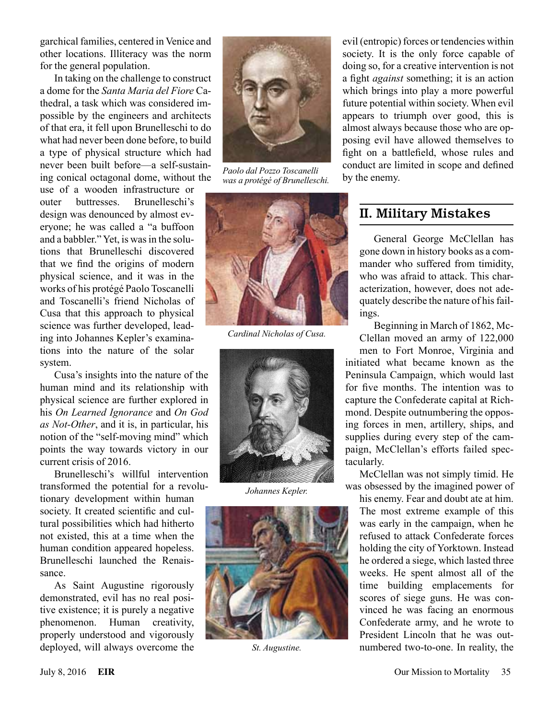garchical families, centered in Venice and other locations. Illiteracy was the norm for the general population.

In taking on the challenge to construct a dome for the *Santa Maria del Fiore* Cathedral, a task which was considered impossible by the engineers and architects of that era, it fell upon Brunelleschi to do what had never been done before, to build a type of physical structure which had never been built before—a self-sustaining conical octagonal dome, without the

use of a wooden infrastructure or outer buttresses. Brunelleschi's design was denounced by almost everyone; he was called a "a buffoon and a babbler." Yet, is was in the solutions that Brunelleschi discovered that we find the origins of modern physical science, and it was in the works of his protégé Paolo Toscanelli and Toscanelli's friend Nicholas of Cusa that this approach to physical science was further developed, leading into Johannes Kepler's examinations into the nature of the solar system.

Cusa's insights into the nature of the human mind and its relationship with physical science are further explored in his *On Learned Ignorance* and *On God as Not-Other*, and it is, in particular, his notion of the "self-moving mind" which points the way towards victory in our current crisis of 2016.

Brunelleschi's willful intervention transformed the potential for a revolu-

tionary development within human society. It created scientific and cultural possibilities which had hitherto not existed, this at a time when the human condition appeared hopeless. Brunelleschi launched the Renaissance.

As Saint Augustine rigorously demonstrated, evil has no real positive existence; it is purely a negative phenomenon. Human creativity, properly understood and vigorously deployed, will always overcome the



*Paolo dal Pozzo Toscanelli was a protégé of Brunelleschi.*



*Cardinal Nicholas of Cusa.*



*Johannes Kepler.*



*St. Augustine.*

evil (entropic) forces or tendencies within society. It is the only force capable of doing so, for a creative intervention is not a fight *against* something; it is an action which brings into play a more powerful future potential within society. When evil appears to triumph over good, this is almost always because those who are opposing evil have allowed themselves to fight on a battlefield, whose rules and conduct are limited in scope and defined by the enemy.

### II. Military Mistakes

General George McClellan has gone down in history books as a commander who suffered from timidity, who was afraid to attack. This characterization, however, does not adequately describe the nature of his failings.

Beginning in March of 1862, Mc-Clellan moved an army of 122,000

men to Fort Monroe, Virginia and initiated what became known as the Peninsula Campaign, which would last for five months. The intention was to capture the Confederate capital at Richmond. Despite outnumbering the opposing forces in men, artillery, ships, and supplies during every step of the campaign, McClellan's efforts failed spectacularly.

McClellan was not simply timid. He was obsessed by the imagined power of

his enemy. Fear and doubt ate at him. The most extreme example of this was early in the campaign, when he refused to attack Confederate forces holding the city of Yorktown. Instead he ordered a siege, which lasted three weeks. He spent almost all of the time building emplacements for scores of siege guns. He was convinced he was facing an enormous Confederate army, and he wrote to President Lincoln that he was outnumbered two-to-one. In reality, the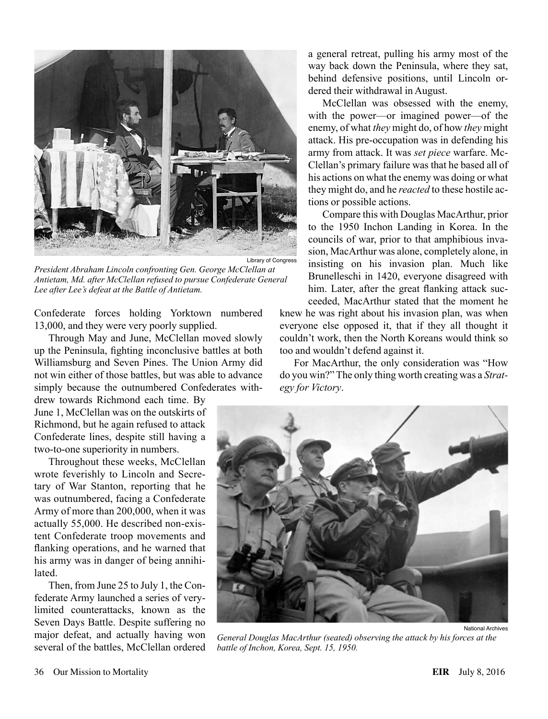

*President Abraham Lincoln confronting Gen. George McClellan at Antietam, Md. after McClellan refused to pursue Confederate General Lee after Lee's defeat at the Battle of Antietam.*

Confederate forces holding Yorktown numbered 13,000, and they were very poorly supplied.

Through May and June, McClellan moved slowly up the Peninsula, fighting inconclusive battles at both Williamsburg and Seven Pines. The Union Army did not win either of those battles, but was able to advance simply because the outnumbered Confederates with-

drew towards Richmond each time. By June 1, McClellan was on the outskirts of Richmond, but he again refused to attack Confederate lines, despite still having a two-to-one superiority in numbers.

Throughout these weeks, McClellan wrote feverishly to Lincoln and Secretary of War Stanton, reporting that he was outnumbered, facing a Confederate Army of more than 200,000, when it was actually 55,000. He described non-existent Confederate troop movements and flanking operations, and he warned that his army was in danger of being annihilated.

Then, from June 25 to July 1, the Confederate Army launched a series of verylimited counterattacks, known as the Seven Days Battle. Despite suffering no major defeat, and actually having won several of the battles, McClellan ordered

a general retreat, pulling his army most of the way back down the Peninsula, where they sat, behind defensive positions, until Lincoln ordered their withdrawal in August.

McClellan was obsessed with the enemy, with the power—or imagined power—of the enemy, of what *they* might do, of how *they* might attack. His pre-occupation was in defending his army from attack. It was *set piece* warfare. Mc-Clellan's primary failure was that he based all of his actions on what the enemy was doing or what they might do, and he *reacted* to these hostile actions or possible actions.

Compare this with Douglas MacArthur, prior to the 1950 Inchon Landing in Korea. In the councils of war, prior to that amphibious invasion, MacArthur was alone, completely alone, in insisting on his invasion plan. Much like Brunelleschi in 1420, everyone disagreed with him. Later, after the great flanking attack suc-

ceeded, MacArthur stated that the moment he knew he was right about his invasion plan, was when everyone else opposed it, that if they all thought it couldn't work, then the North Koreans would think so too and wouldn't defend against it.

For MacArthur, the only consideration was "How do you win?" The only thing worth creating was a *Strategy for Victory*.



*General Douglas MacArthur (seated) observing the attack by his forces at the battle of Inchon, Korea, Sept. 15, 1950.*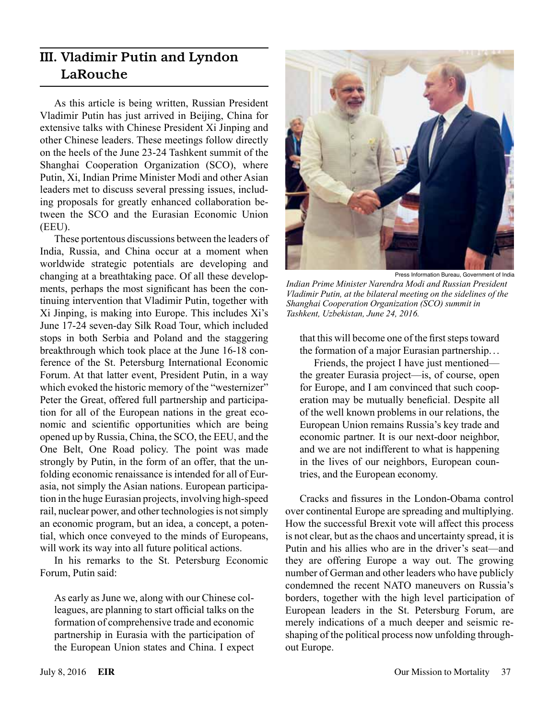## III. Vladimir Putin and Lyndon LaRouche

As this article is being written, Russian President Vladimir Putin has just arrived in Beijing, China for extensive talks with Chinese President Xi Jinping and other Chinese leaders. These meetings follow directly on the heels of the June 23-24 Tashkent summit of the Shanghai Cooperation Organization (SCO), where Putin, Xi, Indian Prime Minister Modi and other Asian leaders met to discuss several pressing issues, including proposals for greatly enhanced collaboration between the SCO and the Eurasian Economic Union (EEU).

These portentous discussions between the leaders of India, Russia, and China occur at a moment when worldwide strategic potentials are developing and changing at a breathtaking pace. Of all these developments, perhaps the most significant has been the continuing intervention that Vladimir Putin, together with Xi Jinping, is making into Europe. This includes Xi's June 17-24 seven-day Silk Road Tour, which included stops in both Serbia and Poland and the staggering breakthrough which took place at the June 16-18 conference of the St. Petersburg International Economic Forum. At that latter event, President Putin, in a way which evoked the historic memory of the "westernizer" Peter the Great, offered full partnership and participation for all of the European nations in the great economic and scientific opportunities which are being opened up by Russia, China, the SCO, the EEU, and the One Belt, One Road policy. The point was made strongly by Putin, in the form of an offer, that the unfolding economic renaissance is intended for all of Eurasia, not simply the Asian nations. European participation in the huge Eurasian projects, involving high-speed rail, nuclear power, and other technologies is not simply an economic program, but an idea, a concept, a potential, which once conveyed to the minds of Europeans, will work its way into all future political actions.

In his remarks to the St. Petersburg Economic Forum, Putin said:

As early as June we, along with our Chinese colleagues, are planning to start official talks on the formation of comprehensive trade and economic partnership in Eurasia with the participation of the European Union states and China. I expect



Press Information Bureau, Government of India

*Indian Prime Minister Narendra Modi and Russian President Vladimir Putin, at the bilateral meeting on the sidelines of the Shanghai Cooperation Organization (SCO) summit in Tashkent, Uzbekistan, June 24, 2016.*

that this will become one of the first steps toward the formation of a major Eurasian partnership...

Friends, the project I have just mentioned the greater Eurasia project—is, of course, open for Europe, and I am convinced that such cooperation may be mutually beneficial. Despite all of the well known problems in our relations, the European Union remains Russia's key trade and economic partner. It is our next-door neighbor, and we are not indifferent to what is happening in the lives of our neighbors, European countries, and the European economy.

Cracks and fissures in the London-Obama control over continental Europe are spreading and multiplying. How the successful Brexit vote will affect this process is not clear, but as the chaos and uncertainty spread, it is Putin and his allies who are in the driver's seat—and they are offering Europe a way out. The growing number of German and other leaders who have publicly condemned the recent NATO maneuvers on Russia's borders, together with the high level participation of European leaders in the St. Petersburg Forum, are merely indications of a much deeper and seismic reshaping of the political process now unfolding throughout Europe.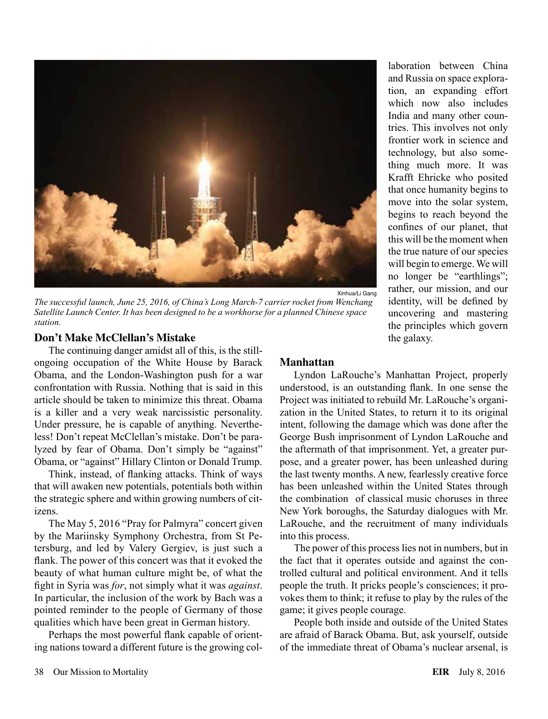

*The successful launch, June 25, 2016, of China's Long March-7 carrier rocket from Wenchang Satellite Launch Center. It has been designed to be a workhorse for a planned Chinese space station.*

#### **Don't Make McClellan's Mistake**

The continuing danger amidst all of this, is the stillongoing occupation of the White House by Barack Obama, and the London-Washington push for a war confrontation with Russia. Nothing that is said in this article should be taken to minimize this threat. Obama is a killer and a very weak narcissistic personality. Under pressure, he is capable of anything. Nevertheless! Don't repeat McClellan's mistake. Don't be paralyzed by fear of Obama. Don't simply be "against" Obama, or "against" Hillary Clinton or Donald Trump.

Think, instead, of flanking attacks. Think of ways that will awaken new potentials, potentials both within the strategic sphere and within growing numbers of citizens.

The May 5, 2016 "Pray for Palmyra" concert given by the Mariinsky Symphony Orchestra, from St Petersburg, and led by Valery Gergiev, is just such a flank. The power of this concert was that it evoked the beauty of what human culture might be, of what the fight in Syria was *for*, not simply what it was *against*. In particular, the inclusion of the work by Bach was a pointed reminder to the people of Germany of those qualities which have been great in German history.

Perhaps the most powerful flank capable of orienting nations toward a different future is the growing col-

#### **Manhattan**

Lyndon LaRouche's Manhattan Project, properly understood, is an outstanding flank. In one sense the Project was initiated to rebuild Mr. LaRouche's organization in the United States, to return it to its original intent, following the damage which was done after the George Bush imprisonment of Lyndon LaRouche and the aftermath of that imprisonment. Yet, a greater purpose, and a greater power, has been unleashed during the last twenty months. A new, fearlessly creative force has been unleashed within the United States through the combination of classical music choruses in three New York boroughs, the Saturday dialogues with Mr. LaRouche, and the recruitment of many individuals into this process.

The power of this process lies not in numbers, but in the fact that it operates outside and against the controlled cultural and political environment. And it tells people the truth. It pricks people's consciences; it provokes them to think; it refuse to play by the rules of the game; it gives people courage.

People both inside and outside of the United States are afraid of Barack Obama. But, ask yourself, outside of the immediate threat of Obama's nuclear arsenal, is

tion, an expanding effort which now also includes India and many other countries. This involves not only frontier work in science and technology, but also something much more. It was Krafft Ehricke who posited that once humanity begins to move into the solar system, begins to reach beyond the confines of our planet, that this will be the moment when the true nature of our species will begin to emerge. We will no longer be "earthlings"; rather, our mission, and our identity, will be defined by uncovering and mastering the principles which govern the galaxy.

laboration between China and Russia on space explora-